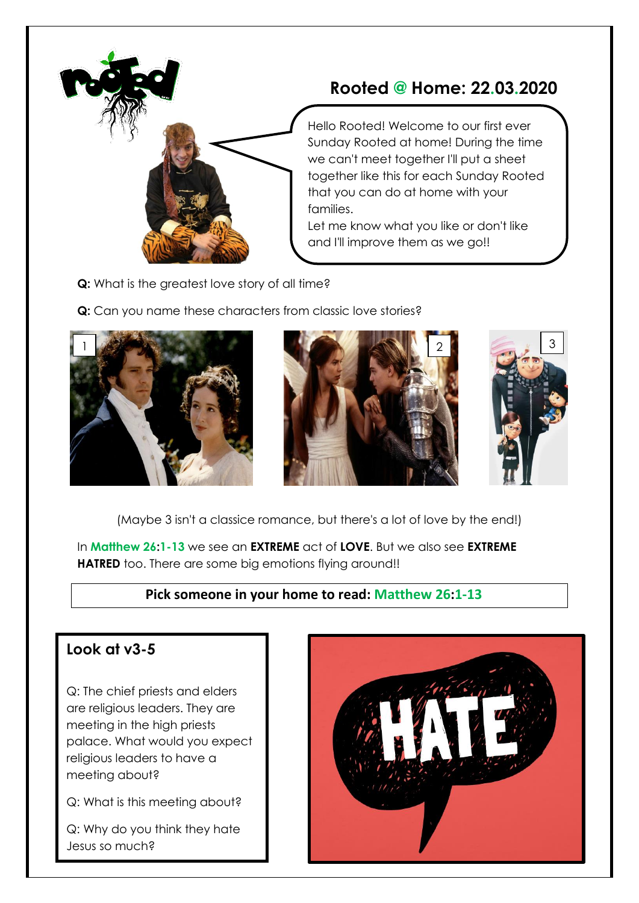

## **Rooted @ Home: 22.03.2020**

Hello Rooted! Welcome to our first ever Sunday Rooted at home! During the time we can't meet together I'll put a sheet together like this for each Sunday Rooted that you can do at home with your families.

Let me know what you like or don't like and I'll improve them as we go!!

- **Q:** What is the greatest love story of all time?
- **Q:** Can you name these characters from classic love stories?







(Maybe 3 isn't a classice romance, but there's a lot of love by the end!)

In **Matthew 26:1-13** we see an **EXTREME** act of **LOVE**. But we also see **EXTREME HATRED** too. There are some big emotions flying around!!

#### **Pick someone in your home to read: Matthew 26:1-13**

#### **Look at v3-5**

Q: The chief priests and elders are religious leaders. They are meeting in the high priests palace. What would you expect religious leaders to have a meeting about?

Q: What is this meeting about?

Q: Why do you think they hate Jesus so much?